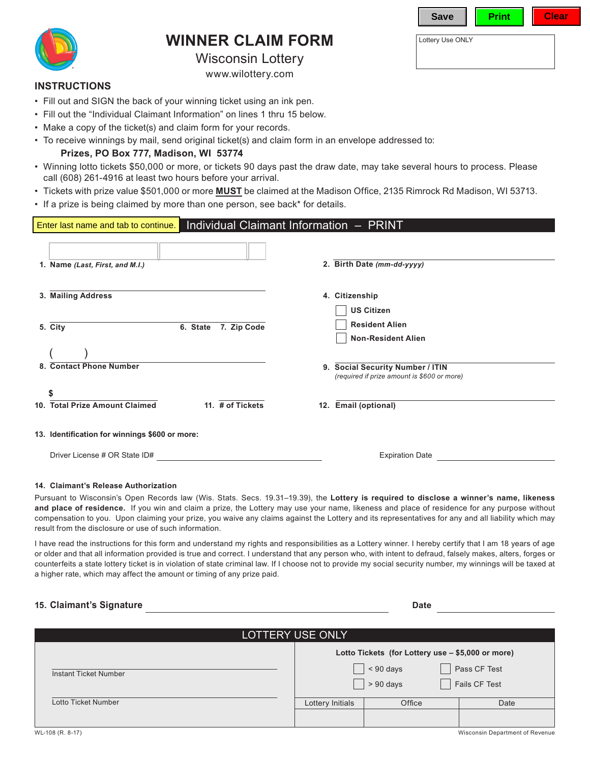| v.<br>e |  |  |
|---------|--|--|
|         |  |  |

**WINNER CLAIM FORM** Lottery Use ONLY

Wisconsin Lottery

[www.wilottery.com](http://www.wilottery.com)

#### **INSTRUCTIONS**

- Fill out and SIGN the back of your winning ticket using an ink pen.
- Fill out the "Individual Claimant Information" on lines 1 thru 15 below.
- Make a copy of the ticket(s) and claim form for your records.
- To receive winnings by mail, send original ticket(s) and claim form in an envelope addressed to:

## **Prizes, PO Box 777, Madison, WI 53774**

- Winning lotto tickets \$50,000 or more, or tickets 90 days past the draw date, may take several hours to process. Please call (608) 261-4916 at least two hours before your arrival.
- Tickets with prize value \$501,000 or more **MUST** be claimed at the Madison Office, 2135 Rimrock Rd Madison, WI 53713.
- If a prize is being claimed by more than one person, see back\* for details.

## Individual Claimant Information – PRINT **1. Name** *(Last, First, and M.I.)* **3. Mailing Address 5. City 6. State 7. Zip Code 2. Birth Date** *(mm-dd-yyyy)* **13. Identification for winnings \$600 or more:** Driver License # OR State ID# **Expiration Date Expiration Date Expiration Date 10. Total Prize Amount Claimed 11. # of Tickets \$ 12. Email (optional) 8. Contact Phone Number** ( ) **9. Social Security Number / ITIN** *(required if prize amount is \$600 or more)* **4. Citizenship US Citizen Resident Alien Non-Resident Alien** Enter last name and tab to continue.

### **14. Claimant's Release Authorization**

Pursuant to Wisconsin's Open Records law (Wis. Stats. Secs. 19.31–19.39), the **Lottery is required to disclose a winner's name, likeness and place of residence.** If you win and claim a prize, the Lottery may use your name, likeness and place of residence for any purpose without compensation to you. Upon claiming your prize, you waive any claims against the Lottery and its representatives for any and all liability which may result from the disclosure or use of such information.

I have read the instructions for this form and understand my rights and responsibilities as a Lottery winner. I hereby certify that I am 18 years of age or older and that all information provided is true and correct. I understand that any person who, with intent to defraud, falsely makes, alters, forges or counterfeits a state lottery ticket is in violation of state criminal law. If I choose not to provide my social security number, my winnings will be taxed at a higher rate, which may affect the amount or timing of any prize paid.

## 15. Claimant's Signature **Date**

| LOTTERY USE ONLY      |                                                   |                            |                               |  |  |  |
|-----------------------|---------------------------------------------------|----------------------------|-------------------------------|--|--|--|
|                       | Lotto Tickets (for Lottery use - \$5,000 or more) |                            |                               |  |  |  |
| Instant Ticket Number |                                                   | $< 90$ days<br>$> 90$ days | Pass CF Test<br>Fails CF Test |  |  |  |
| Lotto Ticket Number   | Lottery Initials                                  | Office                     | Date                          |  |  |  |
|                       |                                                   |                            |                               |  |  |  |